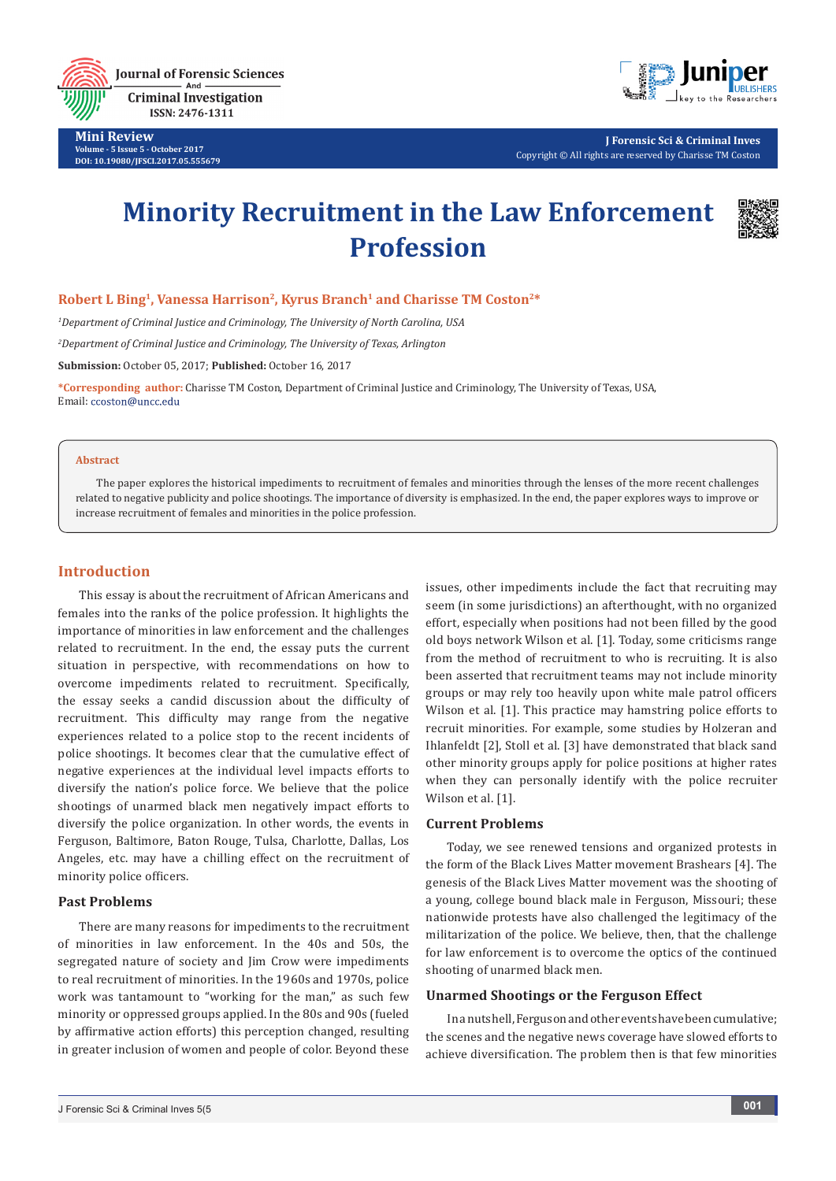**Journal of Forensic Sciences Criminal Investigation** ISSN: 2476-1311

**Mini Review Volume - 5 Issue 5 - October 2017 DOI: [10.19080/JFSCI.2017.05.555679](http://dx.doi.org/10.19080/JFSCI.2017.05.555679)**



**J Forensic Sci & Criminal Inves** Copyright © All rights are reserved by Charisse TM Coston

# **Minority Recruitment in the Law Enforcement Profession**



# Robert L Bing<sup>1</sup>, Vanessa Harrison<sup>2</sup>, Kyrus Branch<sup>1</sup> and Charisse TM Coston<sup>2\*</sup>

*1 Department of Criminal Justice and Criminology, The University of North Carolina, USA*

*2 Department of Criminal Justice and Criminology, The University of Texas, Arlington* 

**Submission:** October 05, 2017; **Published:** October 16, 2017

**\*Corresponding author:** Charisse TM Coston, Department of Criminal Justice and Criminology, The University of Texas, USA, Email: ccoston@uncc.edu

#### **Abstract**

The paper explores the historical impediments to recruitment of females and minorities through the lenses of the more recent challenges related to negative publicity and police shootings. The importance of diversity is emphasized. In the end, the paper explores ways to improve or increase recruitment of females and minorities in the police profession.

## **Introduction**

This essay is about the recruitment of African Americans and females into the ranks of the police profession. It highlights the importance of minorities in law enforcement and the challenges related to recruitment. In the end, the essay puts the current situation in perspective, with recommendations on how to overcome impediments related to recruitment. Specifically, the essay seeks a candid discussion about the difficulty of recruitment. This difficulty may range from the negative experiences related to a police stop to the recent incidents of police shootings. It becomes clear that the cumulative effect of negative experiences at the individual level impacts efforts to diversify the nation's police force. We believe that the police shootings of unarmed black men negatively impact efforts to diversify the police organization. In other words, the events in Ferguson, Baltimore, Baton Rouge, Tulsa, Charlotte, Dallas, Los Angeles, etc. may have a chilling effect on the recruitment of minority police officers.

#### **Past Problems**

There are many reasons for impediments to the recruitment of minorities in law enforcement. In the 40s and 50s, the segregated nature of society and Jim Crow were impediments to real recruitment of minorities. In the 1960s and 1970s, police work was tantamount to "working for the man," as such few minority or oppressed groups applied. In the 80s and 90s (fueled by affirmative action efforts) this perception changed, resulting in greater inclusion of women and people of color. Beyond these

issues, other impediments include the fact that recruiting may seem (in some jurisdictions) an afterthought, with no organized effort, especially when positions had not been filled by the good old boys network Wilson et al. [1]. Today, some criticisms range from the method of recruitment to who is recruiting. It is also been asserted that recruitment teams may not include minority groups or may rely too heavily upon white male patrol officers Wilson et al. [1]. This practice may hamstring police efforts to recruit minorities. For example, some studies by Holzeran and Ihlanfeldt [2], Stoll et al. [3] have demonstrated that black sand other minority groups apply for police positions at higher rates when they can personally identify with the police recruiter Wilson et al. [1].

## **Current Problems**

Today, we see renewed tensions and organized protests in the form of the Black Lives Matter movement Brashears [4]. The genesis of the Black Lives Matter movement was the shooting of a young, college bound black male in Ferguson, Missouri; these nationwide protests have also challenged the legitimacy of the militarization of the police. We believe, then, that the challenge for law enforcement is to overcome the optics of the continued shooting of unarmed black men.

#### **Unarmed Shootings or the Ferguson Effect**

In a nutshell, Ferguson and other events have been cumulative; the scenes and the negative news coverage have slowed efforts to achieve diversification. The problem then is that few minorities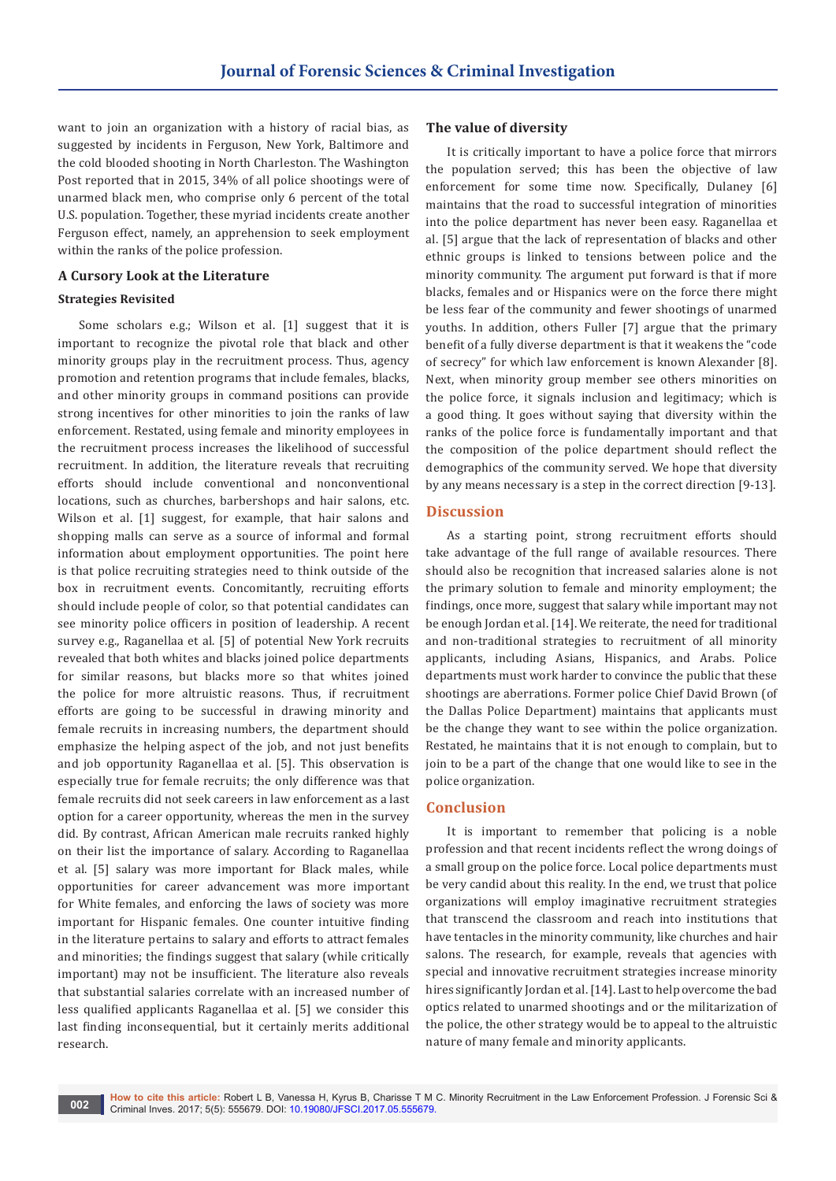want to join an organization with a history of racial bias, as suggested by incidents in Ferguson, New York, Baltimore and the cold blooded shooting in North Charleston. The Washington Post reported that in 2015, 34% of all police shootings were of unarmed black men, who comprise only 6 percent of the total U.S. population. Together, these myriad incidents create another Ferguson effect, namely, an apprehension to seek employment within the ranks of the police profession.

#### **A Cursory Look at the Literature**

#### **Strategies Revisited**

Some scholars e.g.; Wilson et al. [1] suggest that it is important to recognize the pivotal role that black and other minority groups play in the recruitment process. Thus, agency promotion and retention programs that include females, blacks, and other minority groups in command positions can provide strong incentives for other minorities to join the ranks of law enforcement. Restated, using female and minority employees in the recruitment process increases the likelihood of successful recruitment. In addition, the literature reveals that recruiting efforts should include conventional and nonconventional locations, such as churches, barbershops and hair salons, etc. Wilson et al. [1] suggest, for example, that hair salons and shopping malls can serve as a source of informal and formal information about employment opportunities. The point here is that police recruiting strategies need to think outside of the box in recruitment events. Concomitantly, recruiting efforts should include people of color, so that potential candidates can see minority police officers in position of leadership. A recent survey e.g., Raganellaa et al. [5] of potential New York recruits revealed that both whites and blacks joined police departments for similar reasons, but blacks more so that whites joined the police for more altruistic reasons. Thus, if recruitment efforts are going to be successful in drawing minority and female recruits in increasing numbers, the department should emphasize the helping aspect of the job, and not just benefits and job opportunity Raganellaa et al. [5]. This observation is especially true for female recruits; the only difference was that female recruits did not seek careers in law enforcement as a last option for a career opportunity, whereas the men in the survey did. By contrast, African American male recruits ranked highly on their list the importance of salary. According to Raganellaa et al. [5] salary was more important for Black males, while opportunities for career advancement was more important for White females, and enforcing the laws of society was more important for Hispanic females. One counter intuitive finding in the literature pertains to salary and efforts to attract females and minorities; the findings suggest that salary (while critically important) may not be insufficient. The literature also reveals that substantial salaries correlate with an increased number of less qualified applicants Raganellaa et al. [5] we consider this last finding inconsequential, but it certainly merits additional research.

## **The value of diversity**

It is critically important to have a police force that mirrors the population served; this has been the objective of law enforcement for some time now. Specifically, Dulaney [6] maintains that the road to successful integration of minorities into the police department has never been easy. Raganellaa et al. [5] argue that the lack of representation of blacks and other ethnic groups is linked to tensions between police and the minority community. The argument put forward is that if more blacks, females and or Hispanics were on the force there might be less fear of the community and fewer shootings of unarmed youths. In addition, others Fuller [7] argue that the primary benefit of a fully diverse department is that it weakens the "code of secrecy" for which law enforcement is known Alexander [8]. Next, when minority group member see others minorities on the police force, it signals inclusion and legitimacy; which is a good thing. It goes without saying that diversity within the ranks of the police force is fundamentally important and that the composition of the police department should reflect the demographics of the community served. We hope that diversity by any means necessary is a step in the correct direction [9-13].

## **Discussion**

As a starting point, strong recruitment efforts should take advantage of the full range of available resources. There should also be recognition that increased salaries alone is not the primary solution to female and minority employment; the findings, once more, suggest that salary while important may not be enough Jordan et al. [14]. We reiterate, the need for traditional and non-traditional strategies to recruitment of all minority applicants, including Asians, Hispanics, and Arabs. Police departments must work harder to convince the public that these shootings are aberrations. Former police Chief David Brown (of the Dallas Police Department) maintains that applicants must be the change they want to see within the police organization. Restated, he maintains that it is not enough to complain, but to join to be a part of the change that one would like to see in the police organization.

# **Conclusion**

It is important to remember that policing is a noble profession and that recent incidents reflect the wrong doings of a small group on the police force. Local police departments must be very candid about this reality. In the end, we trust that police organizations will employ imaginative recruitment strategies that transcend the classroom and reach into institutions that have tentacles in the minority community, like churches and hair salons. The research, for example, reveals that agencies with special and innovative recruitment strategies increase minority hires significantly Jordan et al. [14]. Last to help overcome the bad optics related to unarmed shootings and or the militarization of the police, the other strategy would be to appeal to the altruistic nature of many female and minority applicants.